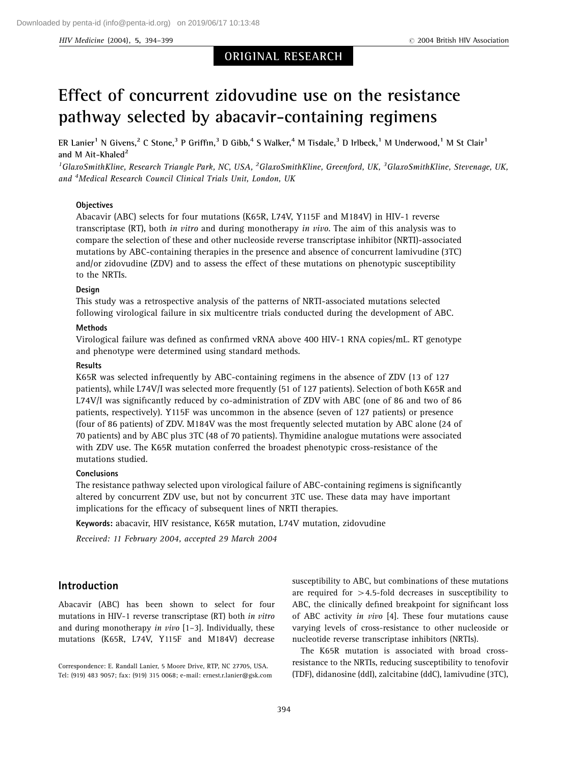HIV Medicine (2004), 5, 394–399 **Rights 1986 r** 2004 British HIV Association

# ORIGINAL RESEARCH

# Effect of concurrent zidovudine use on the resistance pathway selected by abacavir-containing regimens

ER Lanier<sup>1</sup> N Givens,<sup>2</sup> C Stone,<sup>3</sup> P Griffin,<sup>3</sup> D Gibb,<sup>4</sup> S Walker,<sup>4</sup> M Tisdale,<sup>3</sup> D Irlbeck,<sup>1</sup> M Underwood,<sup>1</sup> M St Clair<sup>1</sup> and M Ait-Khaled $2$ 

<sup>1</sup>GlaxoSmithKline, Research Triangle Park, NC, USA, <sup>2</sup>GlaxoSmithKline, Greenford, UK, <sup>3</sup>GlaxoSmithKline, Stevenage, UK, and <sup>4</sup>Medical Research Council Clinical Trials Unit, London, UK

#### **Objectives**

Abacavir (ABC) selects for four mutations (K65R, L74V, Y115F and M184V) in HIV-1 reverse transcriptase (RT), both in vitro and during monotherapy in vivo. The aim of this analysis was to compare the selection of these and other nucleoside reverse transcriptase inhibitor (NRTI)-associated mutations by ABC-containing therapies in the presence and absence of concurrent lamivudine (3TC) and/or zidovudine (ZDV) and to assess the effect of these mutations on phenotypic susceptibility to the NRTIs.

#### Design

This study was a retrospective analysis of the patterns of NRTI-associated mutations selected following virological failure in six multicentre trials conducted during the development of ABC.

#### **Methods**

Virological failure was defined as confirmed vRNA above 400 HIV-1 RNA copies/mL. RT genotype and phenotype were determined using standard methods.

#### Results

K65R was selected infrequently by ABC-containing regimens in the absence of ZDV (13 of 127 patients), while L74V/I was selected more frequently (51 of 127 patients). Selection of both K65R and L74V/I was significantly reduced by co-administration of ZDV with ABC (one of 86 and two of 86 patients, respectively). Y115F was uncommon in the absence (seven of 127 patients) or presence (four of 86 patients) of ZDV. M184V was the most frequently selected mutation by ABC alone (24 of 70 patients) and by ABC plus 3TC (48 of 70 patients). Thymidine analogue mutations were associated with ZDV use. The K65R mutation conferred the broadest phenotypic cross-resistance of the mutations studied.

### **Conclusions**

The resistance pathway selected upon virological failure of ABC-containing regimens is significantly altered by concurrent ZDV use, but not by concurrent 3TC use. These data may have important implications for the efficacy of subsequent lines of NRTI therapies.

Keywords: abacavir, HIV resistance, K65R mutation, L74V mutation, zidovudine

Received: 11 February 2004, accepted 29 March 2004

## Introduction

Abacavir (ABC) has been shown to select for four mutations in HIV-1 reverse transcriptase (RT) both in vitro and during monotherapy in vivo  $[1-3]$ . Individually, these mutations (K65R, L74V, Y115F and M184V) decrease

Correspondence: E. Randall Lanier, 5 Moore Drive, RTP, NC 27705, USA. Tel: (919) 483 9057; fax: (919) 315 0068; e-mail: ernest.r.lanier@gsk.com susceptibility to ABC, but combinations of these mutations are required for  $>4.5$ -fold decreases in susceptibility to ABC, the clinically defined breakpoint for significant loss of ABC activity in vivo [4]. These four mutations cause varying levels of cross-resistance to other nucleoside or nucleotide reverse transcriptase inhibitors (NRTIs).

The K65R mutation is associated with broad crossresistance to the NRTIs, reducing susceptibility to tenofovir (TDF), didanosine (ddI), zalcitabine (ddC), lamivudine (3TC),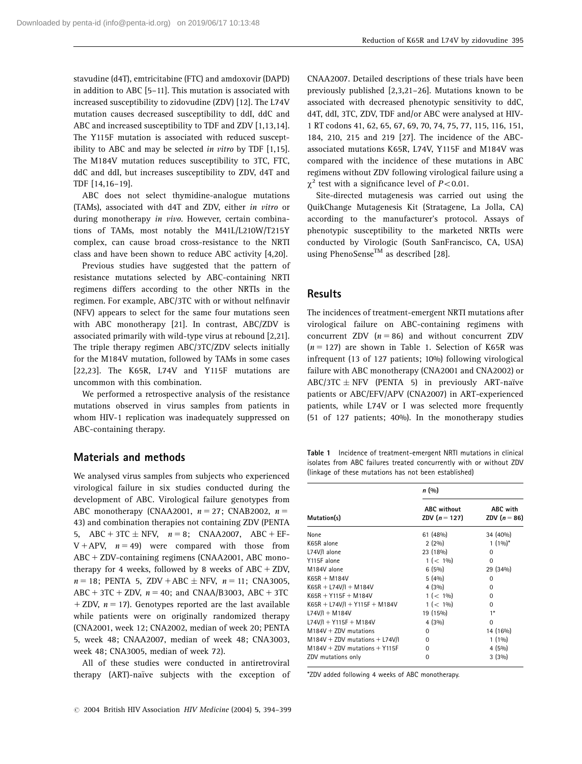stavudine (d4T), emtricitabine (FTC) and amdoxovir (DAPD) in addition to ABC [5–11]. This mutation is associated with increased susceptibility to zidovudine (ZDV) [12]. The L74V mutation causes decreased susceptibility to ddI, ddC and ABC and increased susceptibility to TDF and ZDV [1,13,14]. The Y115F mutation is associated with reduced susceptibility to ABC and may be selected in vitro by TDF [1,15]. The M184V mutation reduces susceptibility to 3TC, FTC, ddC and ddI, but increases susceptibility to ZDV, d4T and TDF [14,16–19].

ABC does not select thymidine-analogue mutations (TAMs), associated with d4T and ZDV, either in vitro or during monotherapy in vivo. However, certain combinations of TAMs, most notably the M41L/L210W/T215Y complex, can cause broad cross-resistance to the NRTI class and have been shown to reduce ABC activity [4,20].

Previous studies have suggested that the pattern of resistance mutations selected by ABC-containing NRTI regimens differs according to the other NRTIs in the regimen. For example, ABC/3TC with or without nelfinavir (NFV) appears to select for the same four mutations seen with ABC monotherapy [21]. In contrast, ABC/ZDV is associated primarily with wild-type virus at rebound [2,21]. The triple therapy regimen ABC/3TC/ZDV selects initially for the M184V mutation, followed by TAMs in some cases [22,23]. The K65R, L74V and Y115F mutations are uncommon with this combination.

We performed a retrospective analysis of the resistance mutations observed in virus samples from patients in whom HIV-1 replication was inadequately suppressed on ABC-containing therapy.

## Materials and methods

We analysed virus samples from subjects who experienced virological failure in six studies conducted during the development of ABC. Virological failure genotypes from ABC monotherapy (CNAA2001,  $n = 27$ ; CNAB2002,  $n =$ 43) and combination therapies not containing ZDV (PENTA 5, ABC + 3TC  $\pm$  NFV,  $n = 8$ ; CNAA2007, ABC + EF- $V + APV$ ,  $n = 49$ ) were compared with those from  $ABC + ZDV$ -containing regimens (CNAA2001, ABC monotherapy for 4 weeks, followed by 8 weeks of  $ABC + ZDV$ ,  $n = 18$ ; PENTA 5, ZDV + ABC  $\pm$  NFV,  $n = 11$ ; CNA3005, ABC + 3TC + ZDV,  $n = 40$ ; and CNAA/B3003, ABC + 3TC + ZDV,  $n = 17$ ). Genotypes reported are the last available while patients were on originally randomized therapy (CNA2001, week 12; CNA2002, median of week 20; PENTA 5, week 48; CNAA2007, median of week 48; CNA3003, week 48; CNA3005, median of week 72).

All of these studies were conducted in antiretroviral therapy (ART)-naïve subjects with the exception of

CNAA2007. Detailed descriptions of these trials have been previously published [2,3,21–26]. Mutations known to be associated with decreased phenotypic sensitivity to ddC, d4T, ddI, 3TC, ZDV, TDF and/or ABC were analysed at HIV-1 RT codons 41, 62, 65, 67, 69, 70, 74, 75, 77, 115, 116, 151, 184, 210, 215 and 219 [27]. The incidence of the ABCassociated mutations K65R, L74V, Y115F and M184V was compared with the incidence of these mutations in ABC regimens without ZDV following virological failure using a  $\gamma^2$  test with a significance level of P < 0.01.

Site-directed mutagenesis was carried out using the QuikChange Mutagenesis Kit (Stratagene, La Jolla, CA) according to the manufacturer's protocol. Assays of phenotypic susceptibility to the marketed NRTIs were conducted by Virologic (South SanFrancisco, CA, USA) using PhenoSense<sup>TM</sup> as described [28].

# **Results**

The incidences of treatment-emergent NRTI mutations after virological failure on ABC-containing regimens with concurrent ZDV  $(n = 86)$  and without concurrent ZDV  $(n = 127)$  are shown in Table 1. Selection of K65R was infrequent (13 of 127 patients; 10%) following virological failure with ABC monotherapy (CNA2001 and CNA2002) or ABC/3TC  $\pm$  NFV (PENTA 5) in previously ART-naïve patients or ABC/EFV/APV (CNA2007) in ART-experienced patients, while L74V or I was selected more frequently (51 of 127 patients; 40%). In the monotherapy studies

Table 1 Incidence of treatment-emergent NRTI mutations in clinical isolates from ABC failures treated concurrently with or without ZDV (linkage of these mutations has not been established)

|                                   | n (%)                                 |                                          |  |  |  |  |
|-----------------------------------|---------------------------------------|------------------------------------------|--|--|--|--|
| Mutation(s)                       | <b>ABC</b> without<br>ZDV $(n = 127)$ | <b>ABC</b> with<br><b>ZDV</b> $(n = 86)$ |  |  |  |  |
| None                              | 61(48%)                               | 34 (40%)                                 |  |  |  |  |
| K65R alone                        | $2(2\%)$                              | $1(1\%)^*$                               |  |  |  |  |
| L74V/I alone                      | 23 (18%)                              | $\Omega$                                 |  |  |  |  |
| Y115F alone                       | $1 (< 1\%)$                           | 0                                        |  |  |  |  |
| M184V alone                       | 6(5%)                                 | 29 (34%)                                 |  |  |  |  |
| $K65R + M184V$                    | 5(4%)                                 | $\Omega$                                 |  |  |  |  |
| $K65R + L74V/I + M184V$           | 4(3%)                                 | O                                        |  |  |  |  |
| $K65R + Y115F + M184V$            | $1 (< 1\%)$                           | $\Omega$                                 |  |  |  |  |
| $K65R + L74V/I + Y115F + M184V$   | $1 (< 1\%)$                           | O                                        |  |  |  |  |
| $L74V/I + M184V$                  | 19 (15%)                              | $1*$                                     |  |  |  |  |
| L74V/I + Y115F + M184V            | $4(3\%)$                              | $\Omega$                                 |  |  |  |  |
| $M184V + ZDV$ mutations           | $\Omega$                              | 14 (16%)                                 |  |  |  |  |
| $M184V + ZDV$ mutations + L74V/I  | $\Omega$                              | $1(1\%)$                                 |  |  |  |  |
| $M184V + ZDV$ mutations $+ Y115F$ | $\Omega$                              | $4(5\%)$                                 |  |  |  |  |
| ZDV mutations only                | O                                     | 3(3%)                                    |  |  |  |  |

\*ZDV added following 4 weeks of ABC monotherapy.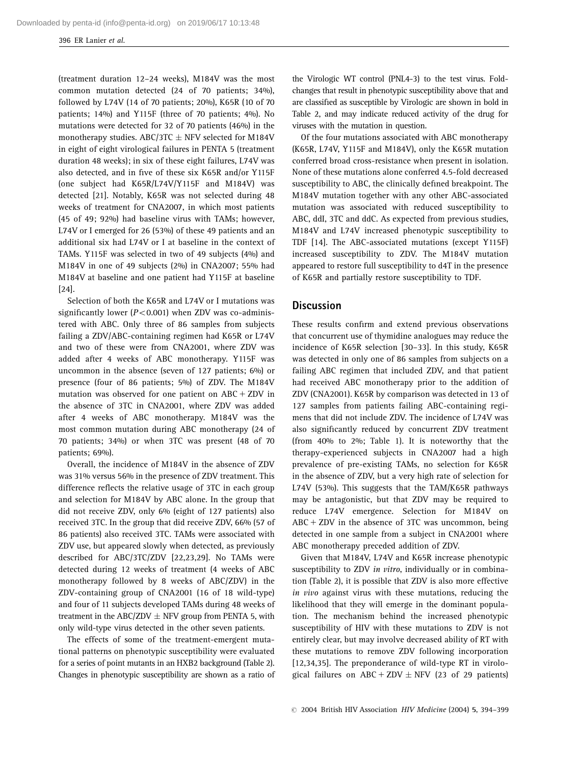396 ER Lanier et al.

(treatment duration 12–24 weeks), M184V was the most common mutation detected (24 of 70 patients; 34%), followed by L74V (14 of 70 patients; 20%), K65R (10 of 70 patients; 14%) and Y115F (three of 70 patients; 4%). No mutations were detected for 32 of 70 patients (46%) in the monotherapy studies. ABC/3TC  $\pm$  NFV selected for M184V in eight of eight virological failures in PENTA 5 (treatment duration 48 weeks); in six of these eight failures, L74V was also detected, and in five of these six K65R and/or Y115F (one subject had K65R/L74V/Y115F and M184V) was detected [21]. Notably, K65R was not selected during 48 weeks of treatment for CNA2007, in which most patients (45 of 49; 92%) had baseline virus with TAMs; however, L74V or I emerged for 26 (53%) of these 49 patients and an additional six had L74V or I at baseline in the context of TAMs. Y115F was selected in two of 49 subjects (4%) and M184V in one of 49 subjects (2%) in CNA2007; 55% had M184V at baseline and one patient had Y115F at baseline [24].

Selection of both the K65R and L74V or I mutations was significantly lower  $(P<0.001)$  when ZDV was co-administered with ABC. Only three of 86 samples from subjects failing a ZDV/ABC-containing regimen had K65R or L74V and two of these were from CNA2001, where ZDV was added after 4 weeks of ABC monotherapy. Y115F was uncommon in the absence (seven of 127 patients; 6%) or presence (four of 86 patients; 5%) of ZDV. The M184V mutation was observed for one patient on  $ABC + ZDV$  in the absence of 3TC in CNA2001, where ZDV was added after 4 weeks of ABC monotherapy. M184V was the most common mutation during ABC monotherapy (24 of 70 patients; 34%) or when 3TC was present (48 of 70 patients; 69%).

Overall, the incidence of M184V in the absence of ZDV was 31% versus 56% in the presence of ZDV treatment. This difference reflects the relative usage of 3TC in each group and selection for M184V by ABC alone. In the group that did not receive ZDV, only 6% (eight of 127 patients) also received 3TC. In the group that did receive ZDV, 66% (57 of 86 patients) also received 3TC. TAMs were associated with ZDV use, but appeared slowly when detected, as previously described for ABC/3TC/ZDV [22,23,29]. No TAMs were detected during 12 weeks of treatment (4 weeks of ABC monotherapy followed by 8 weeks of ABC/ZDV) in the ZDV-containing group of CNA2001 (16 of 18 wild-type) and four of 11 subjects developed TAMs during 48 weeks of treatment in the ABC/ZDV  $\pm$  NFV group from PENTA 5, with only wild-type virus detected in the other seven patients.

The effects of some of the treatment-emergent mutational patterns on phenotypic susceptibility were evaluated for a series of point mutants in an HXB2 background (Table 2). Changes in phenotypic susceptibility are shown as a ratio of the Virologic WT control (PNL4-3) to the test virus. Foldchanges that result in phenotypic susceptibility above that and are classified as susceptible by Virologic are shown in bold in Table 2, and may indicate reduced activity of the drug for viruses with the mutation in question.

Of the four mutations associated with ABC monotherapy (K65R, L74V, Y115F and M184V), only the K65R mutation conferred broad cross-resistance when present in isolation. None of these mutations alone conferred 4.5-fold decreased susceptibility to ABC, the clinically defined breakpoint. The M184V mutation together with any other ABC-associated mutation was associated with reduced susceptibility to ABC, ddI, 3TC and ddC. As expected from previous studies, M184V and L74V increased phenotypic susceptibility to TDF [14]. The ABC-associated mutations (except Y115F) increased susceptibility to ZDV. The M184V mutation appeared to restore full susceptibility to d4T in the presence of K65R and partially restore susceptibility to TDF.

## **Discussion**

These results confirm and extend previous observations that concurrent use of thymidine analogues may reduce the incidence of K65R selection [30–33]. In this study, K65R was detected in only one of 86 samples from subjects on a failing ABC regimen that included ZDV, and that patient had received ABC monotherapy prior to the addition of ZDV (CNA2001). K65R by comparison was detected in 13 of 127 samples from patients failing ABC-containing regimens that did not include ZDV. The incidence of L74V was also significantly reduced by concurrent ZDV treatment (from 40% to 2%; Table 1). It is noteworthy that the therapy-experienced subjects in CNA2007 had a high prevalence of pre-existing TAMs, no selection for K65R in the absence of ZDV, but a very high rate of selection for L74V (53%). This suggests that the TAM/K65R pathways may be antagonistic, but that ZDV may be required to reduce L74V emergence. Selection for M184V on  $ABC + ZDV$  in the absence of 3TC was uncommon, being detected in one sample from a subject in CNA2001 where ABC monotherapy preceded addition of ZDV.

Given that M184V, L74V and K65R increase phenotypic susceptibility to ZDV in vitro, individually or in combination (Table 2), it is possible that ZDV is also more effective in vivo against virus with these mutations, reducing the likelihood that they will emerge in the dominant population. The mechanism behind the increased phenotypic susceptibility of HIV with these mutations to ZDV is not entirely clear, but may involve decreased ability of RT with these mutations to remove ZDV following incorporation [12,34,35]. The preponderance of wild-type RT in virological failures on ABC + ZDV  $\pm$  NFV (23 of 29 patients)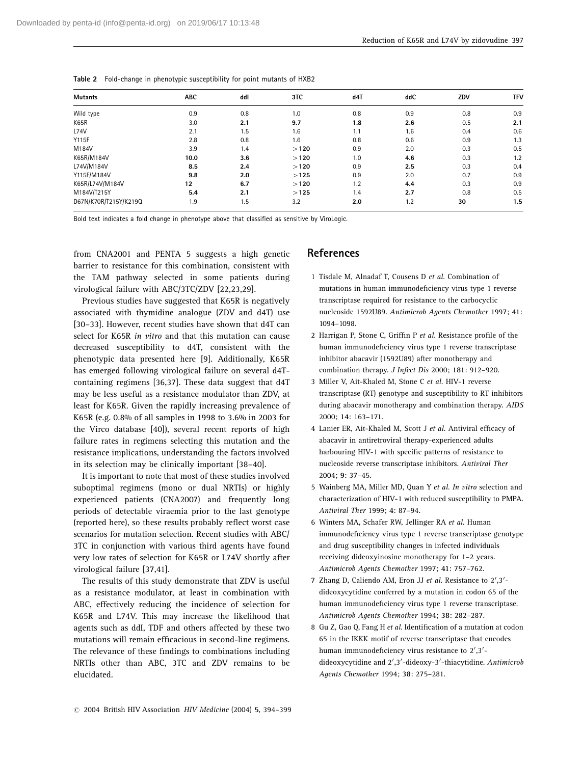| <b>Mutants</b>        | <b>ABC</b> | ddl | 3TC  | d4T | ddC | ZDV | TFV |
|-----------------------|------------|-----|------|-----|-----|-----|-----|
| Wild type             | 0.9        | 0.8 | 1.0  | 0.8 | 0.9 | 0.8 | 0.9 |
| K65R                  | 3.0        | 2.1 | 9.7  | 1.8 | 2.6 | 0.5 | 2.1 |
| L74V                  | 2.1        | 1.5 | 1.6  | 1.1 | 1.6 | 0.4 | 0.6 |
| Y115F                 | 2.8        | 0.8 | 1.6  | 0.8 | 0.6 | 0.9 | 1.3 |
| M184V                 | 3.9        | 1.4 | >120 | 0.9 | 2.0 | 0.3 | 0.5 |
| K65R/M184V            | 10.0       | 3.6 | >120 | 1.0 | 4.6 | 0.3 | 1.2 |
| L74V/M184V            | 8.5        | 2.4 | >120 | 0.9 | 2.5 | 0.3 | 0.4 |
| Y115F/M184V           | 9.8        | 2.0 | >125 | 0.9 | 2.0 | 0.7 | 0.9 |
| K65R/L74V/M184V       | 12         | 6.7 | >120 | 1.2 | 4.4 | 0.3 | 0.9 |
| M184V/T215Y           | 5.4        | 2.1 | >125 | 1.4 | 2.7 | 0.8 | 0.5 |
| D67N/K70R/T215Y/K219Q | 1.9        | 1.5 | 3.2  | 2.0 | 1.2 | 30  | 1.5 |

|  | <b>Table 2</b> Fold-change in phenotypic susceptibility for point mutants of HXB2 |  |  |  |  |  |  |  |  |
|--|-----------------------------------------------------------------------------------|--|--|--|--|--|--|--|--|
|--|-----------------------------------------------------------------------------------|--|--|--|--|--|--|--|--|

Bold text indicates a fold change in phenotype above that classified as sensitive by ViroLogic.

from CNA2001 and PENTA 5 suggests a high genetic barrier to resistance for this combination, consistent with the TAM pathway selected in some patients during virological failure with ABC/3TC/ZDV [22,23,29].

Previous studies have suggested that K65R is negatively associated with thymidine analogue (ZDV and d4T) use [30–33]. However, recent studies have shown that d4T can select for K65R in vitro and that this mutation can cause decreased susceptibility to d4T, consistent with the phenotypic data presented here [9]. Additionally, K65R has emerged following virological failure on several d4Tcontaining regimens [36,37]. These data suggest that d4T may be less useful as a resistance modulator than ZDV, at least for K65R. Given the rapidly increasing prevalence of K65R (e.g. 0.8% of all samples in 1998 to 3.6% in 2003 for the Virco database [40]), several recent reports of high failure rates in regimens selecting this mutation and the resistance implications, understanding the factors involved in its selection may be clinically important [38–40].

It is important to note that most of these studies involved suboptimal regimens (mono or dual NRTIs) or highly experienced patients (CNA2007) and frequently long periods of detectable viraemia prior to the last genotype (reported here), so these results probably reflect worst case scenarios for mutation selection. Recent studies with ABC/ 3TC in conjunction with various third agents have found very low rates of selection for K65R or L74V shortly after virological failure [37,41].

The results of this study demonstrate that ZDV is useful as a resistance modulator, at least in combination with ABC, effectively reducing the incidence of selection for K65R and L74V. This may increase the likelihood that agents such as ddI, TDF and others affected by these two mutations will remain efficacious in second-line regimens. The relevance of these findings to combinations including NRTIs other than ABC, 3TC and ZDV remains to be elucidated.

# **References**

- 1 Tisdale M, Alnadaf T, Cousens D et al. Combination of mutations in human immunodeficiency virus type 1 reverse transcriptase required for resistance to the carbocyclic nucleoside 1592U89. Antimicrob Agents Chemother 1997; 41: 1094–1098.
- 2 Harrigan P, Stone C, Griffin P et al. Resistance profile of the human immunodeficiency virus type 1 reverse transcriptase inhibitor abacavir (1592U89) after monotherapy and combination therapy. J Infect Dis 2000; 181: 912–920.
- 3 Miller V, Ait-Khaled M, Stone C et al. HIV-1 reverse transcriptase (RT) genotype and susceptibility to RT inhibitors during abacavir monotherapy and combination therapy. AIDS 2000; 14: 163–171.
- 4 Lanier ER, Ait-Khaled M, Scott J et al. Antiviral efficacy of abacavir in antiretroviral therapy-experienced adults harbouring HIV-1 with specific patterns of resistance to nucleoside reverse transcriptase inhibitors. Antiviral Ther 2004; 9: 37–45.
- 5 Wainberg MA, Miller MD, Quan Y et al. In vitro selection and characterization of HIV-1 with reduced susceptibility to PMPA. Antiviral Ther 1999; 4: 87–94.
- 6 Winters MA, Schafer RW, Jellinger RA et al. Human immunodeficiency virus type 1 reverse transcriptase genotype and drug susceptibility changes in infected individuals receiving dideoxyinosine monotherapy for 1–2 years. Antimicrob Agents Chemother 1997; 41: 757–762.
- 7 Zhang D, Caliendo AM, Eron JJ et al. Resistance to 2',3'dideoxycytidine conferred by a mutation in codon 65 of the human immunodeficiency virus type 1 reverse transcriptase. Antimicrob Agents Chemother 1994; 38: 282–287.
- 8 Gu Z, Gao Q, Fang H et al. Identification of a mutation at codon 65 in the IKKK motif of reverse transcriptase that encodes human immunodeficiency virus resistance to 2',3'dideoxycytidine and 2',3'-dideoxy-3'-thiacytidine. Antimicrob Agents Chemother 1994; 38: 275–281.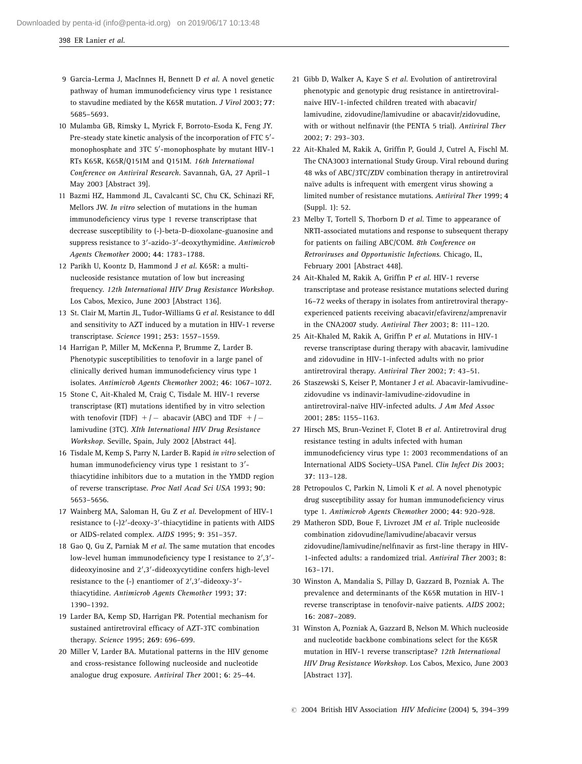398 ER Lanier et al.

- 9 Garcia-Lerma J, MacInnes H, Bennett D et al. A novel genetic pathway of human immunodeficiency virus type 1 resistance to stavudine mediated by the K65R mutation. J Virol 2003; 77: 5685–5693.
- 10 Mulamba GB, Rimsky L, Myrick F, Borroto-Esoda K, Feng JY. Pre-steady state kinetic analysis of the incorporation of FTC 5'monophosphate and 3TC 5'-monophosphate by mutant HIV-1 RTs K65R, K65R/Q151M and Q151M. 16th International Conference on Antiviral Research. Savannah, GA, 27 April–1 May 2003 [Abstract 39].
- 11 Bazmi HZ, Hammond JL, Cavalcanti SC, Chu CK, Schinazi RF, Mellors JW. In vitro selection of mutations in the human immunodeficiency virus type 1 reverse transcriptase that decrease susceptibility to (-)-beta-D-dioxolane-guanosine and suppress resistance to 3'-azido-3'-deoxythymidine. Antimicrob Agents Chemother 2000; 44: 1783–1788.
- 12 Parikh U, Koontz D, Hammond J et al. K65R: a multinucleoside resistance mutation of low but increasing frequency. 12th International HIV Drug Resistance Workshop. Los Cabos, Mexico, June 2003 [Abstract 136].
- 13 St. Clair M, Martin JL, Tudor-Williams G et al. Resistance to ddI and sensitivity to AZT induced by a mutation in HIV-1 reverse transcriptase. Science 1991; 253: 1557–1559.
- 14 Harrigan P, Miller M, McKenna P, Brumme Z, Larder B. Phenotypic susceptibilities to tenofovir in a large panel of clinically derived human immunodeficiency virus type 1 isolates. Antimicrob Agents Chemother 2002; 46: 1067–1072.
- 15 Stone C, Ait-Khaled M, Craig C, Tisdale M. HIV-1 reverse transcriptase (RT) mutations identified by in vitro selection with tenofovir (TDF)  $+/-$  abacavir (ABC) and TDF  $+/$ lamivudine (3TC). XIth International HIV Drug Resistance Workshop. Seville, Spain, July 2002 [Abstract 44].
- 16 Tisdale M, Kemp S, Parry N, Larder B. Rapid in vitro selection of human immunodeficiency virus type 1 resistant to 3'thiacytidine inhibitors due to a mutation in the YMDD region of reverse transcriptase. Proc Natl Acad Sci USA 1993; 90: 5653–5656.
- 17 Wainberg MA, Saloman H, Gu Z et al. Development of HIV-1 resistance to (-)2'-deoxy-3'-thiacytidine in patients with AIDS or AIDS-related complex. AIDS 1995; 9: 351–357.
- 18 Gao Q, Gu Z, Parniak M et al. The same mutation that encodes low-level human immunodeficiency type I resistance to 2',3'dideoxyinosine and 2',3'-dideoxycytidine confers high-level resistance to the  $(-)$  enantiomer of  $2^{\prime}, 3^{\prime}$ -dideoxy-3 $^{\prime}$ thiacytidine. Antimicrob Agents Chemother 1993; 37: 1390–1392.
- 19 Larder BA, Kemp SD, Harrigan PR. Potential mechanism for sustained antiretroviral efficacy of AZT-3TC combination therapy. Science 1995; 269: 696–699.
- 20 Miller V, Larder BA. Mutational patterns in the HIV genome and cross-resistance following nucleoside and nucleotide analogue drug exposure. Antiviral Ther 2001; 6: 25–44.
- 21 Gibb D, Walker A, Kaye S et al. Evolution of antiretroviral phenotypic and genotypic drug resistance in antiretroviralnaive HIV-1-infected children treated with abacavir/ lamivudine, zidovudine/lamivudine or abacavir/zidovudine, with or without nelfinavir (the PENTA 5 trial). Antiviral Ther 2002; 7: 293–303.
- 22 Ait-Khaled M, Rakik A, Griffin P, Gould J, Cutrel A, Fischl M. The CNA3003 international Study Group. Viral rebound during 48 wks of ABC/3TC/ZDV combination therapy in antiretroviral naïve adults is infrequent with emergent virus showing a limited number of resistance mutations. Antiviral Ther 1999; 4 (Suppl. 1): 52.
- 23 Melby T, Tortell S, Thorborn D et al. Time to appearance of NRTI-associated mutations and response to subsequent therapy for patients on failing ABC/COM. 8th Conference on Retroviruses and Opportunistic Infections. Chicago, IL, February 2001 [Abstract 448].
- 24 Ait-Khaled M, Rakik A, Griffin P et al. HIV-1 reverse transcriptase and protease resistance mutations selected during 16–72 weeks of therapy in isolates from antiretroviral therapyexperienced patients receiving abacavir/efavirenz/amprenavir in the CNA2007 study. Antiviral Ther 2003; 8: 111–120.
- 25 Ait-Khaled M, Rakik A, Griffin P et al. Mutations in HIV-1 reverse transcriptase during therapy with abacavir, lamivudine and zidovudine in HIV-1-infected adults with no prior antiretroviral therapy. Antiviral Ther 2002; 7: 43–51.
- 26 Staszewski S, Keiser P, Montaner J et al. Abacavir-lamivudinezidovudine vs indinavir-lamivudine-zidovudine in antiretroviral-naïve HIV-infected adults. *J Am Med Assoc* 2001; 285: 1155–1163.
- 27 Hirsch MS, Brun-Vezinet F, Clotet B et al. Antiretroviral drug resistance testing in adults infected with human immunodeficiency virus type 1: 2003 recommendations of an International AIDS Society–USA Panel. Clin Infect Dis 2003; 37: 113–128.
- 28 Petropoulos C, Parkin N, Limoli K et al. A novel phenotypic drug susceptibility assay for human immunodeficiency virus type 1. Antimicrob Agents Chemother 2000; 44: 920–928.
- 29 Matheron SDD, Boue F, Livrozet JM et al. Triple nucleoside combination zidovudine/lamivudine/abacavir versus zidovudine/lamivudine/nelfinavir as first-line therapy in HIV-1-infected adults: a randomized trial. Antiviral Ther 2003; 8: 163–171.
- 30 Winston A, Mandalia S, Pillay D, Gazzard B, Pozniak A. The prevalence and determinants of the K65R mutation in HIV-1 reverse transcriptase in tenofovir-naive patients. AIDS 2002; 16: 2087–2089.
- 31 Winston A, Pozniak A, Gazzard B, Nelson M. Which nucleoside and nucleotide backbone combinations select for the K65R mutation in HIV-1 reverse transcriptase? 12th International HIV Drug Resistance Workshop. Los Cabos, Mexico, June 2003 [Abstract 137].